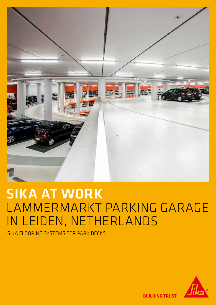

# SIKA AT WORK LAMMERMARKT PARKING GARAGE IN LEIDEN, NETHERLANDS

SIKA FLOORING SYSTEMS FOR PARK DECKS



**ILDING TRUST**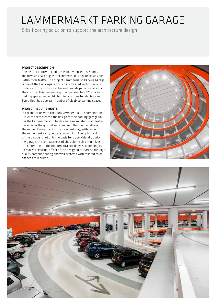## LAMMERMARKT PARKING GARAGE

Sika flooring solution to support the architecture design

#### PROJECT DESCRIPTION

The historic center of Leiden has many museums, shops, theaters and catering establishments. It is a pedestrian zone without car traffic. The project Lammermarkt Parking Garage is one of the two carparks which are located within walking distance of the historic center and provide parking space for the visitors. This new underground parking has 525 spacious parking spaces and eight charging stations for electric cars. Every floor has a certain number of disabled parking spaces.

#### PROJECT REQUIREMENTS

In collaboration with the Dura Vermeer – BESIX combination, JHK Architects created the design for the parking garage under the Lammermarkt. The design is an architectural masterpiece under the ground and combined the functionality and the mode of construction in an elegant way, with respect to the monumental city center surrounding. The cylindrical form of the garage is not only the basis for a user-friendly parking garage, the compactness of the volume also minimizes interference with the monumental buildings surrounding it. To realize the visual effect of the designed carpark space, high quality carpark flooring and wall systems with tailored color shades are required.



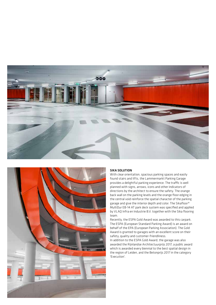



#### SIKA SOLUTION

With clear orientation, spacious parking spaces and easily found stairs and lifts, the Lammermarkt Parking Garage provides a delightful parking experience. The traffic is well planned with signs, arrows, icons and other indicators of directions by the architect to ensure the safety. The orange back wall on the parking levels and the orange floor edging in the central void reinforce the spatial character of the parking garage and give the interior depth and color. The Sikafloor® MultiDur EB-14 AT park deck system was specified and applied by VLAQ Infra en Industrie B.V. together with the Sika flooring team.

Recently, the ESPA Gold Award was awarded to this carpark. The ESPA (European Standard Parking Award) is an award on behalf of the EPA (European Parking Association). The Gold Award is granted to garages with an excellent score on their safety, quality and customer-friendliness.

In addition to the ESPA Gold Award, the garage was also awarded the Rijnlandse Architectuurprijs 2017, a public award which is awarded every biennial to the best spatial design in the region of Leiden, and the Betonprijs 2017 in the category 'Execution'.